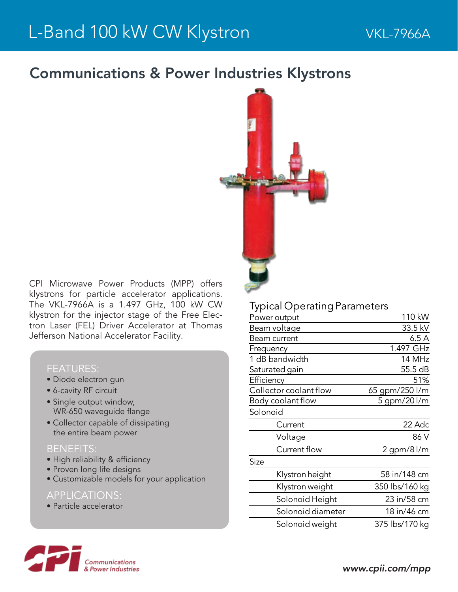## Communications & Power Industries Klystrons



CPI Microwave Power Products (MPP) offers klystrons for particle accelerator applications. The VKL-7966A is a 1.497 GHz, 100 kW CW klystron for the injector stage of the Free Electron Laser (FEL) Driver Accelerator at Thomas Jefferson National Accelerator Facility.

#### FEATURES:

- Diode electron gun
- 6-cavity RF circuit
- Single output window, WR-650 waveguide flange
- Collector capable of dissipating the entire beam power

### BENEFITS:

- High reliability & efficiency
- Proven long life designs
- Customizable models for your application

#### APPLICATIONS:

• Particle accelerator

## Typical OperatingParameters

| Power output           | 110 kW         |
|------------------------|----------------|
| Beam voltage           | 33.5 kV        |
| Beam current           | 6.5A           |
| Frequency              | 1.497 GHz      |
| 1 dB bandwidth         | 14 MHz         |
| Saturated gain         | 55.5 dB        |
| Efficiency             | 51%            |
| Collector coolant flow | 65 gpm/250 l/m |
| Body coolant flow      | 5 gpm/20 l/m   |
| Solonoid               |                |
| Current                | 22 Adc         |
| Voltage                | 86 V           |
| Current flow           | 2 gpm/8 l/m    |
| Size                   |                |
| Klystron height        | 58 in/148 cm   |
| Klystron weight        | 350 lbs/160 kg |
| Solonoid Height        | 23 in/58 cm    |
| Solonoid diameter      | 18 in/46 cm    |
| Solonoid weight        | 375 lbs/170 kg |